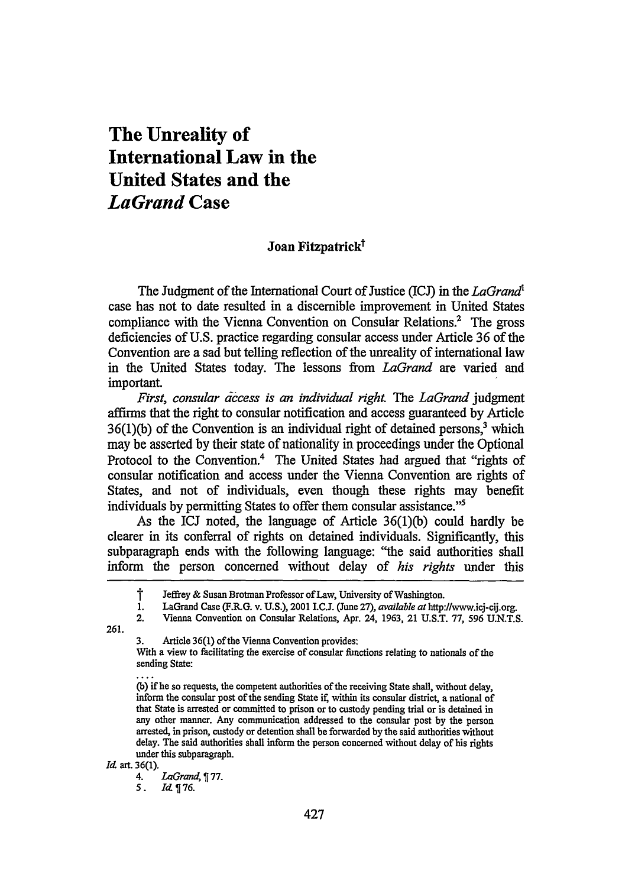## **The Unreality of International Law in the United States and the** *LaGrand* **Case**

## Joan Fitzpatrick<sup>†</sup>

The Judgment of the International Court of Justice (ICJ) in the *LaGrand'* case has not to date resulted in a discernible improvement in United States compliance with the Vienna Convention on Consular Relations.<sup>2</sup> The gross deficiencies of U.S. practice regarding consular access under Article 36 of the Convention are a sad but telling reflection of the unreality of international law in the United States today. The lessons from *LaGrand* are varied and important.

First, consular access is an individual right. The LaGrand judgment affirms that the right to consular notification and access guaranteed by Article  $36(1)(b)$  of the Convention is an individual right of detained persons,<sup>3</sup> which may be asserted by their state of nationality in proceedings under the Optional Protocol to the Convention.<sup>4</sup> The United States had argued that "rights of consular notification and access under the Vienna Convention are rights of States, and not of individuals, even though these rights may benefit individuals by permitting States to offer them consular assistance."<sup>5</sup>

As the ICJ noted, the language of Article 36(1)(b) could hardly be clearer in its conferral of rights on detained individuals. Significantly, this subparagraph ends with the following language: "the said authorities shall inform the person concerned without delay of *his rights* under this

261.

*Id.* art. 36(1).<br>4.

4. *LaGrand,* **77.**

**5.** *Id-* 76.

**T** Jeffrey **&** Susan Brotman Professor of Law, University of Washington.

<sup>1.</sup> LaGrand Case (F.RG. v. U.S.), 2001 I.C.J. (June 27), *available at* http://www.icj-cij.org.

<sup>2.</sup> Vienna Convention on Consular Relations, Apr. 24, 1963, 21 U.S.T. 77, 596 U.N.T.S.

**<sup>3.</sup>** Article **36(1)** of the Vienna Convention provides:

With a view to facilitating the exercise of consular functions relating to nationals of the sending State:

<sup>(</sup>b) if he so requests, the competent authorities of the receiving State shall, without delay, inform the consular post of the sending State if within its consular district, a national of that State is arrested or committed to prison or to custody pending trial or is detained in any other manner. Any communication addressed to the consular post by the person arrested, in prison, custody or detention shall be forwarded by the said authorities without delay. The said authorities shall inform the person concerned without delay of his rights under this subparagraph.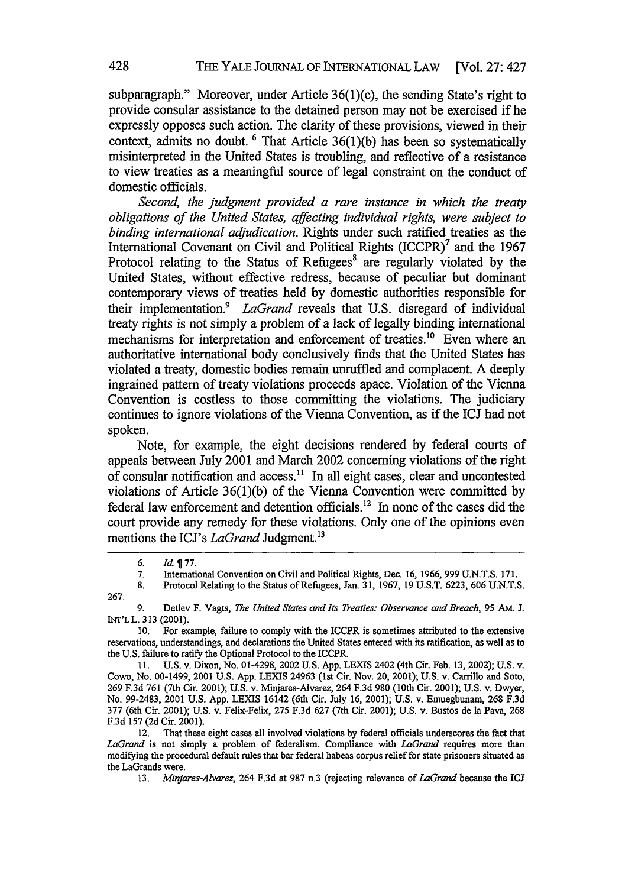subparagraph." Moreover, under Article 36(1)(c), the sending State's right to provide consular assistance to the detained person may not be exercised if he expressly opposes such action. The clarity of these provisions, viewed in their context, admits no doubt. **6** That Article 36(1)(b) has been so systematically misinterpreted in the United States is troubling, and reflective of a resistance to view treaties as a meaningful source of legal constraint on the conduct of domestic officials.

*Second, the judgment provided a rare instance in which the treaty obligations of the United States, affecting individual rights, were subject to binding international adjudication.* Rights under such ratified treaties as the International Covenant on Civil and Political Rights (ICCPR)<sup>7</sup> and the 1967 Protocol relating to the Status of Refugees<sup>8</sup> are regularly violated by the United States, without effective redress, because of peculiar but dominant contemporary views of treaties held by domestic authorities responsible for their implementation.<sup>9</sup> LaGrand reveals that U.S. disregard of individual treaty rights is not simply a problem of a lack of legally binding international mechanisms for interpretation and enforcement of treaties.<sup>10</sup> Even where an authoritative international body conclusively finds that the United States has violated a treaty, domestic bodies remain unruffled and complacent. A deeply ingrained pattern of treaty violations proceeds apace. Violation of the Vienna Convention is costless to those committing the violations. The judiciary continues to ignore violations of the Vienna Convention, as if the ICJ had not spoken.

Note, for example, the eight decisions rendered by federal courts of appeals between July 2001 and March 2002 concerning violations of the right of consular notification and access.<sup>11</sup> In all eight cases, clear and uncontested violations of Article 36(1)(b) of the Vienna Convention were committed by federal law enforcement and detention officials.<sup>12</sup> In none of the cases did the court provide any remedy for these violations. Only one of the opinions even mentions the ICJ's *LaGrand* Judgment.<sup>13</sup>

9. Detlev F. Vagts, *The United States and Its Treaties: Observance and Breach, 95* AM. J. INT'LL. 313 (2001).

10. For example, failure to comply with the ICCPR is sometimes attributed to the extensive reservations, understandings, and declarations the United States entered with its ratification, as well as to the U.S. failure to ratify the Optional Protocol to the ICCPR.

11. U.S. v. Dixon, No. 01-4298, 2002 **U.S. App. LEXIS** 2402 (4th Cir. Feb. 13, 2002); U.S. v. Cowo, No. 00-1499, 2001 U.S. App. LEXIS 24963 (lst Cir. Nov. 20, 2001); U.S. v. Carrillo and Soto, 269 F.3d 761 (7th Cir. 2001); U.S. v. Minjares-Alvarez, 264 F.3d 980 (10th Cir. 2001); U.S. v. Dwyer, No. 99-2483, 2001 U.S. App. LEXIS 16142 (6th Cir. July 16, 2001); U.S. v. Emuegbunam, 268 F.3d 377 (6th Cir. 2001); U.S. v. Felix-Felix, 275 F.3d 627 (7th Cir. 2001); U.S. v. Bustos de la Pava, 268 F.3d 157 (2d Cir. 2001).

12. That these eight cases all involved violations by federal officials underscores the fact that *LaGrand* is not simply a problem of federalism. Compliance with *LaGrand* requires more than modifying the procedural default rules that bar federal habeas corpus relief for state prisoners situated as the LaGrands were.

13. *Minjares-Alvarez,* 264 F.3d at 987 n.3 (rejecting relevance of *LaGrand* because the ICJ

*<sup>6.</sup> Id* **77.**

<sup>7.</sup> International Convention on Civil and Political Rights, Dec. 16, 1966, 999 U.N.T.S. 171.

<sup>8.</sup> Protocol Relating to the Status of Refugees, Jan. 31, 1967, 19 U.S.T. 6223, 606 U.N.T.S. 267.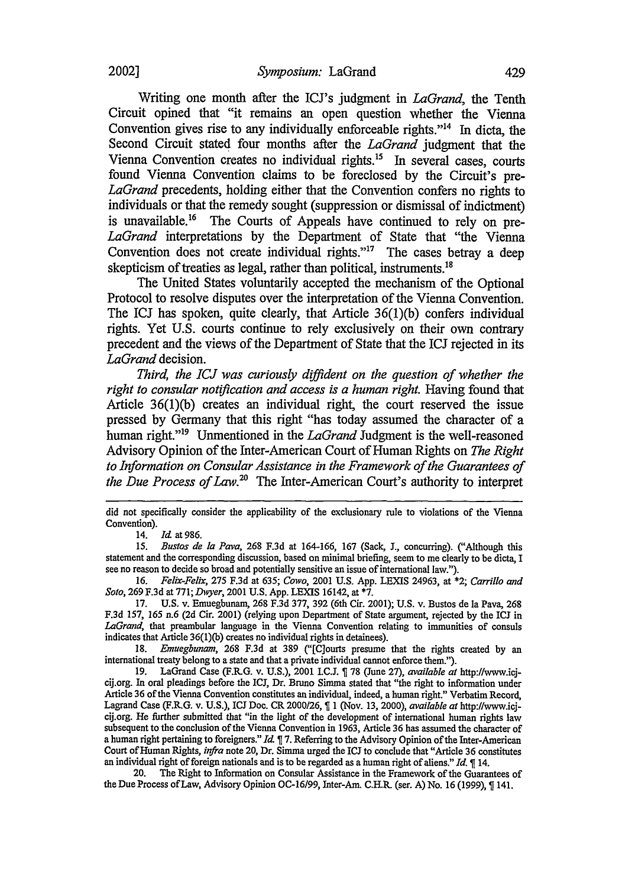Writing one month after the ICJ's judgment in *LaGrand,* the Tenth Circuit opined that "it remains an open question whether the Vienna Convention gives rise to any individually enforceable rights. $14$  In dicta, the Second Circuit stated four months after the *LaGrand* judgment that the Vienna Convention creates no individual rights.<sup>15</sup> In several cases, courts found Vienna Convention claims to be foreclosed by the Circuit's pre-*LaGrand* precedents, holding either that the Convention confers no rights to individuals or that the remedy sought (suppression or dismissal of indictment) is unavailable.<sup>16</sup> The Courts of Appeals have continued to rely on pre-*LaGrand* interpretations by the Department of State that "the Vienna Convention does not create individual rights. $17$  The cases betray a deep skepticism of treaties as legal, rather than political, instruments.<sup>18</sup>

The United States voluntarily accepted the mechanism of the Optional Protocol to resolve disputes over the interpretation of the Vienna Convention. The ICJ has spoken, quite clearly, that Article  $36(1)(b)$  confers individual rights. Yet U.S. courts continue to rely exclusively on their own contrary precedent and the views of the Department of State that the ICJ rejected in its *LaGrand* decision.

*Third, the ICJ was curiously diffident on the question of whether the right to consular notification and access is a human right.* Having found that Article 36(1)(b) creates an individual right, the court reserved the issue pressed by Germany that this right "has today assumed the character of a human right."'9 Unmentioned in the *LaGrand* Judgment is the well-reasoned Advisory Opinion of the Inter-American Court of Human Rights on *The Right to Information on Consular Assistance in the Framework of the Guarantees of the Due Process of Law.20* The Inter-American Court's authority to interpret

did not specifically consider the applicability of the exclusionary rule to violations of the Vienna Convention).

14. *Id* at 986.

15. *Bustos de la Pava,* 268 F.3d at 164-166, 167 (Sack, **J.,** concurring). ("Although this statement and the corresponding discussion, based on minimal briefing, seem to me clearly to be dicta, I see no reason to decide so broad and potentially sensitive an issue of international law.").

*16. Felix-Felix,* 275 F.3d at 635; *Cowo,* 2001 U.S. App. LEXIS 24963, at \*2; *Carrillo and Soto,* 269 F.3d at 771; *Dwyer,* 2001 U.S. App. LEXIS 16142, at **\*7.**

17. U.S. v. Emuegbunam, 268 F.3d 377, **392** (6th Cir. 2001); U.S. v. Bustos de la Pava, 268 F.3d 157, 165 n.6 (2d Cir. 2001) (relying upon Department of State argument, rejected by the ICJ in *LaGrand,* that preambular language in the Vienna Convention relating to immunities of consuls indicates that Article 36(1)(b) creates no individual rights in detainees).

18. *Emuegbunam,* 268 F.3d at 389 ("[C]ourts presume that the rights created by an international treaty belong to a state and that a private individual cannot enforce them.").

19. LaGrand Case (F.R.G. v. U.S.), 2001 LC.L 78 (June 27), *available at* http://www.icjcij.org. In oral pleadings before the IC1, Dr. Bruno Simma stated that "the right to information under Article 36 of the Vienna Convention constitutes an individual, indeed, a human right." Verbatim Record, Lagrand Case (F.R.G. v. U.S.), ICJ Doe. CR 2000/26, 1 (Nov. 13, 2000), *available at* http://www.icjcij.org. He further submitted that "in the light of the development of international human rights law subsequent to the conclusion of the Vienna Convention in 1963, Article 36 has assumed the character of a human right pertaining to foreigners." *Id* **7.** Referring to the Advisory Opinion of the Inter-American Court of Human Rights, *infra* note 20, Dr. Simma urged the ICJ to conclude that "Article **36** constitutes an individual right of foreign nationals and is to be regarded as a human right of aliens." *Id. 14.* 

20. The Right to Information on Consular Assistance in the Framework of the Guarantees of the Due Process of Law, Advisory Opinion **OC-16/99,** Inter-Am. C.H.R. (ser. **A)** No. **16 (1999),** 141.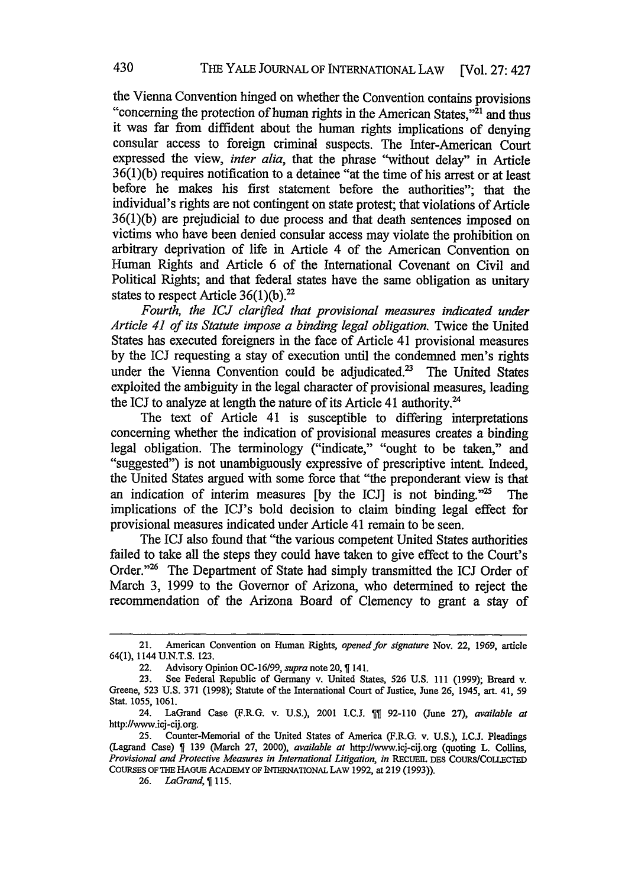the Vienna Convention hinged on whether the Convention contains provisions "concerning the protection of human rights in the American States,"<sup>21</sup> and thus it was far from diffident about the human rights implications of denying consular access to foreign criminal suspects. The Inter-American Court expressed the view, *inter alia,* that the phrase "without delay" in Article 36(1)(b) requires notification to a detainee "at the time of his arrest or at least before he makes his first statement before the authorities"; that the individual's rights are not contingent on state protest; that violations of Article  $36(1)(b)$  are prejudicial to due process and that death sentences imposed on victims who have been denied consular access may violate the prohibition on arbitrary deprivation of life in Article 4 of the American Convention on Human Rights and Article 6 of the International Covenant on Civil and Political Rights; and that federal states have the same obligation as unitary states to respect Article  $36(1)(b)$ .<sup>22</sup>

*Fourth, the ICJ clarified that provisional measures indicated under Article 41 of its Statute impose a binding legal obligation.* Twice the United States has executed foreigners in the face of Article 41 provisional measures by the ICJ requesting a stay of execution until the condemned men's rights under the Vienna Convention could be adjudicated.<sup>23</sup> The United States exploited the ambiguity in the legal character of provisional measures, leading the ICJ to analyze at length the nature of its Article 41 authority.<sup>24</sup>

The text of Article 41 is susceptible to differing interpretations concerning whether the indication of provisional measures creates a binding legal obligation. The terminology ("indicate," "ought to be taken," and "suggested") is not unambiguously expressive of prescriptive intent. Indeed, the United States argued with some force that "the preponderant view is that an indication of interim measures [by the ICJ] is not binding. $^{125}$  The implications of the ICJ's bold decision to claim binding legal effect for provisional measures indicated under Article 41 remain to be seen.

The ICJ also found that "the various competent United States authorities failed to take all the steps they could have taken to give effect to the Court's Order."<sup>26</sup> The Department of State had simply transmitted the ICJ Order of March 3, 1999 to the Governor of Arizona, who determined to reject the recommendation of the Arizona Board of Clemency to grant a stay of

<sup>21.</sup> American Convention on Human Rights, *opened for signature* Nov. 22, **1969,** article 64(1), 1144 **U.N.T.S. 123.**

<sup>22.</sup> Advisory Opinion OC-16/99, *supra* note 20,  $\P$  141.<br>23. See Federal Republic of Germany v. United States, 526 U.S. 111 (1999); Breard v. **23.** See Federal Republic of Germany v. United States, **526 U.S. 111 (1999);** Breard v. Greene, **523 U.S. 371 (1998);** Statute of the International Court of Justice, June **26,** 1945, art. 41, **<sup>59</sup>** Stat. **1055, 1061.**

<sup>24.</sup> LaGrand Case (F.RG. v. **U.S.),** 2001 **I.C.J. 92-110** (June **27),** *available at* http://www.icj-cij.org.

**<sup>25.</sup>** Counter-Memorial of the United States of America (F.RG. v. **U.S.),** I.C.J. Pleadings (Lagrand Case) **139** (March **27,** 2000), *available at* http://www.icj-cij.org (quoting L. Collins, *Provisional and Protective Measures in International Litigation, in* RECUEIL DES COURS/COLLECTED **COURSES** OF **THE** HAGUE ACADEMY OF INTERNATIONAL LAW **1992,** at **219 (1993)).**

**<sup>26.</sup>** *LaGrand,* **115.**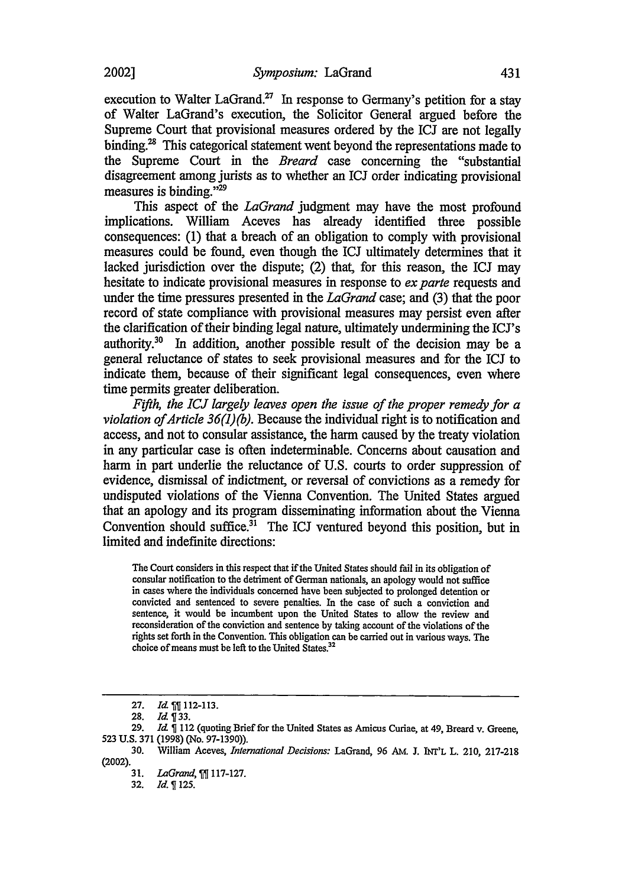2002]

execution to Walter LaGrand.<sup>27</sup> In response to Germany's petition for a stay of Walter LaGrand's execution, the Solicitor General argued before the Supreme Court that provisional measures ordered by the ICJ are not legally binding.<sup>28</sup> This categorical statement went beyond the representations made to the Supreme Court in the *Breard* case concerning the "substantial disagreement among jurists as to whether an ICJ order indicating provisional measures is binding."29

This aspect of the *LaGrand* judgment may have the most profound implications. William Aceves has already identified three possible consequences: (1) that a breach of an obligation to comply with provisional measures could be found, even though the ICJ ultimately determines that it lacked jurisdiction over the dispute; (2) that, for this reason, the ICJ may hesitate to indicate provisional measures in response to *ex parte* requests and under the time pressures presented in the *LaGrand* case; and (3) that the poor record of state compliance with provisional measures may persist even after the clarification of their binding legal nature, ultimately undermining the ICJ's authority.<sup>30</sup> In addition, another possible result of the decision may be a general reluctance of states to seek provisional measures and for the ICJ to indicate them, because of their significant legal consequences, even where time permits greater deliberation.

*Fifth, the ICJ largely leaves open the issue of the proper remedy for a violation ofArticle 36(1)(b).* Because the individual right is to notification and access, and not to consular assistance, the harm caused by the treaty violation in any particular case is often indeterminable. Concerns about causation and harm in part underlie the reluctance of U.S. courts to order suppression of evidence, dismissal of indictment, or reversal of convictions as a remedy for undisputed violations of the Vienna Convention. The United States argued that an apology and its program disseminating information about the Vienna Convention should suffice. $31$  The ICJ ventured beyond this position, but in limited and indefinite directions:

The Court considers in this respect that if the United States should fail in its obligation of consular notification to the detriment of German nationals, an apology would not suffice in cases where the individuals concerned have been subjected to prolonged detention or convicted and sentenced to severe penalties. In the case of such a conviction and sentence, it would be incumbent upon the United States to allow the review and reconsideration of the conviction and sentence by taking account of the violations of the rights set forth in the Convention. This obligation can be carried out in various ways. The choice of means must be left to the United States.<sup>32</sup>

<sup>27.</sup> *Id.* 112-113.<br>28. *Id.* 133.

**<sup>28.</sup>** *Id 33.*

**<sup>29.</sup>** *Id* 112 (quoting Brief for the United States as Amicus Curiae, at 49, Breard v. Greene, 523 U.S. 371 (1998) (No. 97-1390)).

<sup>30.</sup> William Aceves, *International Decisions:* LaGrand, 96 AM. J. **INT'L** L. 210, 217-218 (2002).

**<sup>31.</sup>** *LaGrand,* **117-127.**

**<sup>32.</sup>** *Id.* **125.**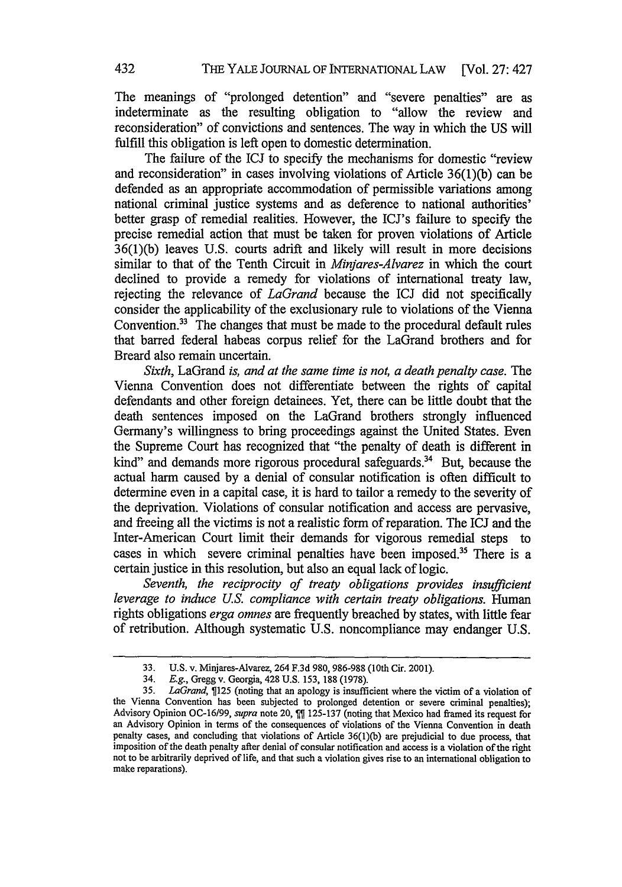The meanings of "prolonged detention" and "severe penalties" are as indeterminate as the resulting obligation to "allow the review and reconsideration" of convictions and sentences. The way in which the US will fulfill this obligation is left open to domestic determination.

The failure of the ICJ to specify the mechanisms for domestic "review and reconsideration" in cases involving violations of Article 36(1)(b) can be defended as an appropriate accommodation of permissible variations among national criminal justice systems and as deference to national authorities' better grasp of remedial realities. However, the ICJ's failure to specify the precise remedial action that must be taken for proven violations of Article 36(1)(b) leaves U.S. courts adrift and likely will result in more decisions similar to that of the Tenth Circuit in *Minjares-Alvarez* in which the court declined to provide a remedy for violations of international treaty law, rejecting the relevance of *LaGrand* because the ICJ did not specifically consider the applicability of the exclusionary rule to violations of the Vienna Convention.33 The changes that must be made to the procedural default rules that barred federal habeas corpus relief for the LaGrand brothers and for Breard also remain uncertain.

*Sixth,* LaGrand *is, and at the same time is not, a death penalty case.* The Vienna Convention does not differentiate between the rights of capital defendants and other foreign detainees. Yet, there can be little doubt that the death sentences imposed on the LaGrand brothers strongly influenced Germany's willingness to bring proceedings against the United States. Even the Supreme Court has recognized that "the penalty of death is different in kind" and demands more rigorous procedural safeguards.<sup>34</sup> But, because the actual harm caused by a denial of consular notification is often difficult to determine even in a capital case, it is hard to tailor a remedy to the severity of the deprivation. Violations of consular notification and access are pervasive, and freeing all the victims is not a realistic form of reparation. The ICJ and the Inter-American Court limit their demands for vigorous remedial steps to cases in which severe criminal penalties have been imposed.<sup>35</sup> There is a certain justice in this resolution, but also an equal lack of logic.

*Seventh, the reciprocity of treaty obligations provides insufficient leverage to induce U.S. compliance with certain treaty obligations.* Human rights obligations *erga omnes* are frequently breached by states, with little fear of retribution. Although systematic U.S. noncompliance may endanger U.S.

<sup>33.</sup> U.S. v. Minjares-Alvarez, 264 F.3d 980, 986-988 (10th Cir. 2001).

<sup>34.</sup> *E.g.,* Gregg v. Georgia, 428 U.S. 153, 188 (1978).

**<sup>35.</sup>** *LaGrand,* **125** (noting that an apology is insufficient where the victim of a violation of the Vienna Convention has been subjected to prolonged detention or severe criminal penalties); Advisory Opinion OC-16/99, *supra* note 20, **125-137** (noting that Mexico had framed its request for an Advisory Opinion in terms of the consequences of violations of the Vienna Convention in death penalty cases, and concluding that violations of Article **36(1)(b)** are prejudicial to due process, that imposition of the death penalty **after** denial of consular notification and access is a violation of the right not to be arbitrarily deprived of life, and that such a violation gives rise to an international obligation to make reparations).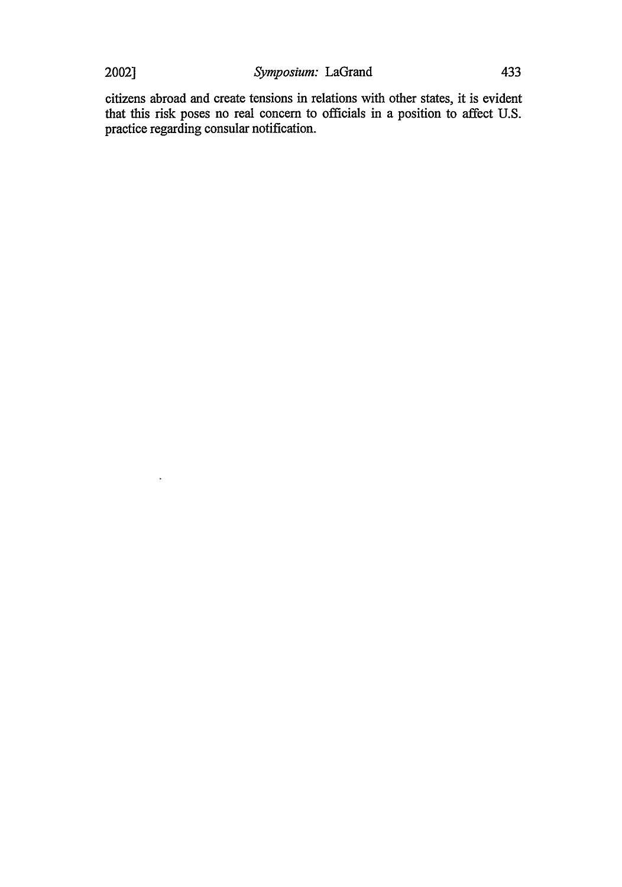$\lambda$ 

citizens abroad and create tensions in relations with other states, it is evident that this risk poses no real concern to officials in a position to affect U.S. practice regarding consular notification.